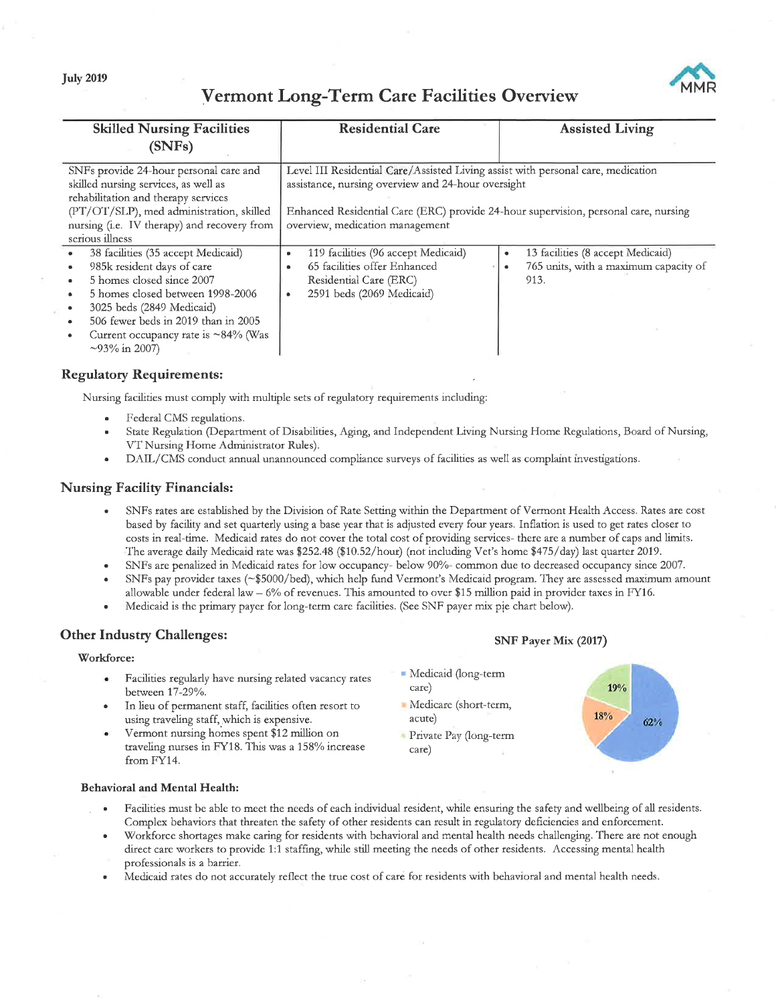# Vermont Long-Term Care Facilities Overview



| <b>Skilled Nursing Facilities</b>           | <b>Residential Care</b>                                                             | <b>Assisted Living</b>                             |
|---------------------------------------------|-------------------------------------------------------------------------------------|----------------------------------------------------|
| (SNFs)                                      |                                                                                     |                                                    |
| SNFs provide 24-hour personal care and      | Level III Residential Care/Assisted Living assist with personal care, medication    |                                                    |
| skilled nursing services, as well as        | assistance, nursing overview and 24-hour oversight                                  |                                                    |
| rehabilitation and therapy services         |                                                                                     |                                                    |
| (PT/OT/SLP), med administration, skilled    | Enhanced Residential Care (ERC) provide 24-hour supervision, personal care, nursing |                                                    |
| nursing (i.e. IV therapy) and recovery from | overview, medication management                                                     |                                                    |
| serious illness                             |                                                                                     |                                                    |
| 38 facilities (35 accept Medicaid)          | 119 facilities (96 accept Medicaid)<br>٠                                            | 13 facilities (8 accept Medicaid)<br>$\bullet$     |
| 985k resident days of care                  | 65 facilities offer Enhanced<br>$\bullet$                                           | 765 units, with a maximum capacity of<br>$\bullet$ |
| 5 homes closed since 2007                   | Residential Care (ERC)                                                              | 913.                                               |
| 5 homes closed between 1998-2006            | 2591 beds (2069 Medicaid)                                                           |                                                    |
| 3025 beds (2849 Medicaid)                   |                                                                                     |                                                    |
| 506 fewer beds in 2019 than in 2005         |                                                                                     |                                                    |
| Current occupancy rate is $\sim$ 84% (Was   |                                                                                     |                                                    |
| $\sim$ 93% in 2007)                         |                                                                                     |                                                    |

# Regulatory Requirements:

Nursing facilities must comply with multiple sets of regulatory requirements including:

- . Federal CMS regulations.
- State Regulation (Department of Disabilities, Aging, and Independent Living Nursing Home Regulations, Board of Nursing, VT Nursing Home Administrator Rules).
- DAIL/CMS conduct annual unannounced compliance surveys of facilities as well as complaint investigations.

# Nursing Facility Financials:

- . SNFs rates are established by the Division of Rate Setting within the Department of Vermont Health Access. Rates are cost based by facility and set quartetly using a base yeat that is adjusted every four years. Inflation is used to get rates closer to costs in real-time. Medicaid rates do not cover the total cost of providing services- there are a number of caps and limits. The average daily Medicaid rate was \$252.48 (\$10.52/hour) (not including Vet's home \$475/day) last quarter 2019.
- . SNFs are penalized in Medicaid rates for low occupancy- below 907o- common due to decreased occupancy since 2007.
- . SNFs pay provider taxes (-\$5000/bed), which help fund Vermont's Medicaid program. They are assessed maximum amount allowable under federal law - 6% of revenues. This amounted to over \$15 million paid in provider taxes in FY16.
- . Medicaid is the primary payer for long-term care facilities. (See SNF payer mix pie chatt below).

# Other Industry Challenges:

### Workforce:

- Facilities regularly have nursing related vacancy rates between 17-29%.
- In lieu of petmanent staff, facilities often resort to using traveling staff, which is expensive.
- Vermont nursing homes spent \$12 million on traveling nurses in FY18. This was a 158% increase from FY14.

# SNF Payer Mix (2017)

- **F** Medicaid (long-term care)
- Medicare (short-term, acute)
- Private Pay Qong-term care)



#### Behavioral and Mental Health:

- Facilities must be able to meet the needs of each individual resident, while ensuring the safety and wellbeing of all residents. Complex behaviors that threaten the safety of other residents can result in regulatory deficiencies and enforcement.
- . Workforce shortages make caring for residents with behavioral and mental health needs challenging. There are not enough direct care workers to provide 1:1 staffing, while still meeting the needs of other residents. Accessing mental health professionals is a barrier.
- . Medicaid rates do not accurately reflect the tiue cost of care for residents with behavioral and mental health needs.